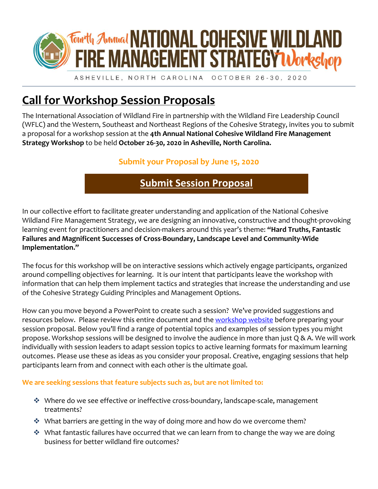

ASHEVILLE, NORTH CAROLINA OCTOBER 26-30, 2020

## **Call for Workshop Session Proposals**

The International Association of Wildland Fire in partnership with the Wildland Fire Leadership Council (WFLC) and the Western, Southeast and Northeast Regions of the Cohesive Strategy, invites you to submit a proposal for a workshop session at the **4th Annual National Cohesive Wildland Fire Management Strategy Workshop** to be held **October 26-30, 2020 in Asheville, North Carolina.** 

## **Submit your Proposal by June 15, 2020**

## **[Submit Session](https://iawf.submittable.com/submit/163328/call-for-workshop-session-proposals-4th-cohesive-strategy-workshop-asheville) Proposal**

In our collective effort to facilitate greater understanding and application of the National Cohesive Wildland Fire Management Strategy, we are designing an innovative, constructive and thought-provoking learning event for practitioners and decision-makers around this year's theme: **"Hard Truths, Fantastic Failures and Magnificent Successes of Cross-Boundary, Landscape Level and Community-Wide Implementation."**

The focus for this workshop will be on interactive sessions which actively engage participants, organized around compelling objectives for learning. It is our intent that participants leave the workshop with information that can help them implement tactics and strategies that increase the understanding and use of the Cohesive Strategy Guiding Principles and Management Options.

How can you move beyond a PowerPoint to create such a session? We've provided suggestions and resources below. Please review this entire document and the [workshop website](https://www.iawfonline.org/event/4th-annual-national-cohesive-wildland-fire-management-strategy-workshop/) before preparing your session proposal. Below you'll find a range of potential topics and examples of session types you might propose. Workshop sessions will be designed to involve the audience in more than just Q & A. We will work individually with session leaders to adapt session topics to active learning formats for maximum learning outcomes. Please use these as ideas as you consider your proposal. Creative, engaging sessions that help participants learn from and connect with each other is the ultimate goal.

**We are seeking sessions that feature subjects such as, but are not limited to:** 

- ❖ Where do we see effective or ineffective cross-boundary, landscape-scale, management treatments?
- ❖ What barriers are getting in the way of doing more and how do we overcome them?
- ❖ What fantastic failures have occurred that we can learn from to change the way we are doing business for better wildland fire outcomes?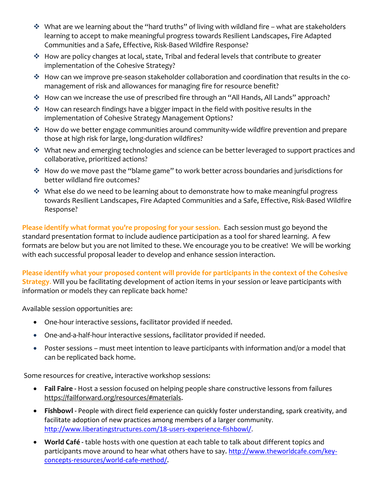- ❖ What are we learning about the "hard truths" of living with wildland fire what are stakeholders learning to accept to make meaningful progress towards Resilient Landscapes, Fire Adapted Communities and a Safe, Effective, Risk-Based Wildfire Response?
- ❖ How are policy changes at local, state, Tribal and federal levels that contribute to greater implementation of the Cohesive Strategy?
- ❖ How can we improve pre-season stakeholder collaboration and coordination that results in the comanagement of risk and allowances for managing fire for resource benefit?
- ❖ How can we increase the use of prescribed fire through an "All Hands, All Lands" approach?
- ❖ How can research findings have a bigger impact in the field with positive results in the implementation of Cohesive Strategy Management Options?
- ❖ How do we better engage communities around community-wide wildfire prevention and prepare those at high risk for large, long-duration wildfires?
- ❖ What new and emerging technologies and science can be better leveraged to support practices and collaborative, prioritized actions?
- ❖ How do we move past the "blame game" to work better across boundaries and jurisdictions for better wildland fire outcomes?
- ❖ What else do we need to be learning about to demonstrate how to make meaningful progress towards Resilient Landscapes, Fire Adapted Communities and a Safe, Effective, Risk-Based Wildfire Response?

**Please identify what format you're proposing for your session.** Each session must go beyond the standard presentation format to include audience participation as a tool for shared learning. A few formats are below but you are not limited to these. We encourage you to be creative! We will be working with each successful proposal leader to develop and enhance session interaction.

**Please identify what your proposed content will provide for participants in the context of the Cohesive Strategy**. Will you be facilitating development of action items in your session or leave participants with information or models they can replicate back home?

Available session opportunities are:

- One-hour interactive sessions, facilitator provided if needed.
- One-and-a-half-hour interactive sessions, facilitator provided if needed.
- Poster sessions must meet intention to leave participants with information and/or a model that can be replicated back home.

Some resources for creative, interactive workshop sessions:

- **Fail Faire -** Host a session focused on helping people share constructive lessons from failures [https://failforward.org/resources/#materials.](https://failforward.org/resources/#materials)
- **Fishbowl -** People with direct field experience can quickly foster understanding, spark creativity, and facilitate adoption of new practices among members of a larger community. [http://www.liberatingstructures.com/18-users-experience-fishbowl/.](http://www.liberatingstructures.com/18-users-experience-fishbowl/)
- **World Café -** table hosts with one question at each table to talk about different topics and participants move around to hear what others have to say. [http://www.theworldcafe.com/key](http://www.theworldcafe.com/key-concepts-resources/world-cafe-method/)[concepts-resources/world-cafe-method/](http://www.theworldcafe.com/key-concepts-resources/world-cafe-method/).